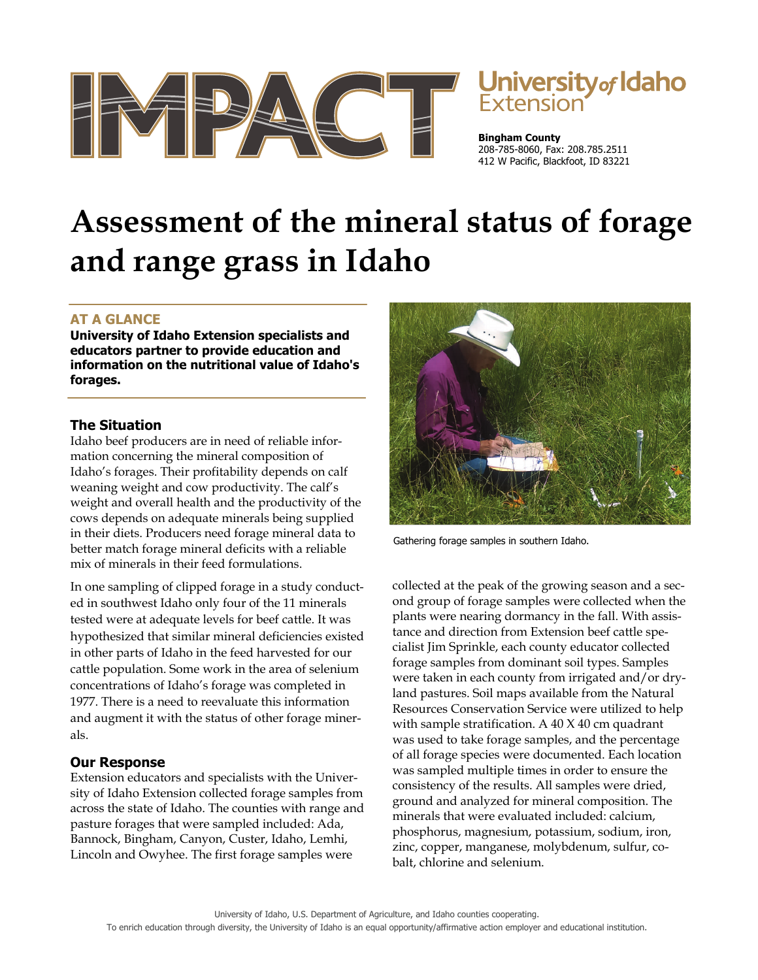



**Bingham County** 208-785-8060, Fax: 208.785.2511 412 W Pacific, Blackfoot, ID 83221

# **Assessment of the mineral status of forage and range grass in Idaho**

## **AT A GLANCE**

**University of Idaho Extension specialists and educators partner to provide education and information on the nutritional value of Idaho's forages.** 

## **The Situation**

Idaho beef producers are in need of reliable information concerning the mineral composition of Idaho's forages. Their profitability depends on calf weaning weight and cow productivity. The calf's weight and overall health and the productivity of the cows depends on adequate minerals being supplied in their diets. Producers need forage mineral data to better match forage mineral deficits with a reliable mix of minerals in their feed formulations.

In one sampling of clipped forage in a study conducted in southwest Idaho only four of the 11 minerals tested were at adequate levels for beef cattle. It was hypothesized that similar mineral deficiencies existed in other parts of Idaho in the feed harvested for our cattle population. Some work in the area of selenium concentrations of Idaho's forage was completed in 1977. There is a need to reevaluate this information and augment it with the status of other forage minerals.

## **Our Response**

Extension educators and specialists with the University of Idaho Extension collected forage samples from across the state of Idaho. The counties with range and pasture forages that were sampled included: Ada, Bannock, Bingham, Canyon, Custer, Idaho, Lemhi, Lincoln and Owyhee. The first forage samples were



Gathering forage samples in southern Idaho.

collected at the peak of the growing season and a second group of forage samples were collected when the plants were nearing dormancy in the fall. With assistance and direction from Extension beef cattle specialist Jim Sprinkle, each county educator collected forage samples from dominant soil types. Samples were taken in each county from irrigated and/or dryland pastures. Soil maps available from the Natural Resources Conservation Service were utilized to help with sample stratification. A 40 X 40 cm quadrant was used to take forage samples, and the percentage of all forage species were documented. Each location was sampled multiple times in order to ensure the consistency of the results. All samples were dried, ground and analyzed for mineral composition. The minerals that were evaluated included: calcium, phosphorus, magnesium, potassium, sodium, iron, zinc, copper, manganese, molybdenum, sulfur, cobalt, chlorine and selenium.